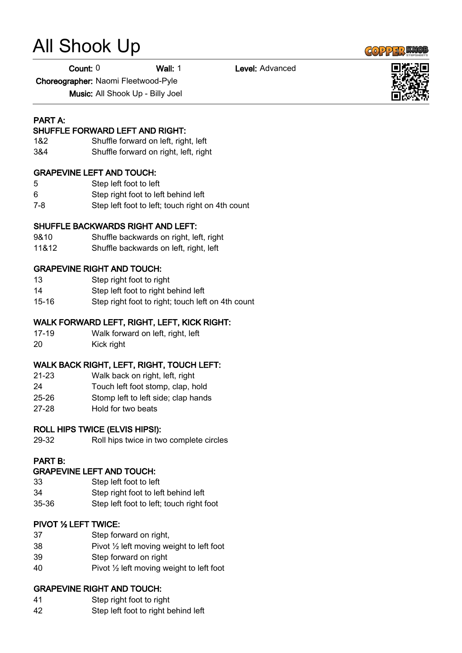# All Shook Up

**Count: 0 Wall: 1 Level: Advanced** 

Choreographer: Naomi Fleetwood-Pyle

Music: All Shook Up - Billy Joel

## PART A:

#### SHUFFLE FORWARD LEFT AND RIGHT:

- 1&2 Shuffle forward on left, right, left
- 3&4 Shuffle forward on right, left, right

## GRAPEVINE LEFT AND TOUCH:

- 5 Step left foot to left
- 6 Step right foot to left behind left
- 7-8 Step left foot to left; touch right on 4th count

## SHUFFLE BACKWARDS RIGHT AND LEFT:

- 9&10 Shuffle backwards on right, left, right
- 11&12 Shuffle backwards on left, right, left

# GRAPEVINE RIGHT AND TOUCH:

- 13 Step right foot to right
- 14 Step left foot to right behind left
- 15-16 Step right foot to right; touch left on 4th count

## WALK FORWARD LEFT, RIGHT, LEFT, KICK RIGHT:

- 17-19 Walk forward on left, right, left
- 20 Kick right

# WALK BACK RIGHT, LEFT, RIGHT, TOUCH LEFT:

- 21-23 Walk back on right, left, right
- 24 Touch left foot stomp, clap, hold
- 25-26 Stomp left to left side; clap hands
- 27-28 Hold for two beats

# ROLL HIPS TWICE (ELVIS HIPS!):

29-32 Roll hips twice in two complete circles

# PART B:

# GRAPEVINE LEFT AND TOUCH:

- 33 Step left foot to left
- 34 Step right foot to left behind left
- 35-36 Step left foot to left; touch right foot

#### PIVOT ½ LEFT TWICE:

- 37 Step forward on right,
- 38 Pivot ½ left moving weight to left foot
- 39 Step forward on right
- 40 Pivot ½ left moving weight to left foot

# GRAPEVINE RIGHT AND TOUCH:

- 41 Step right foot to right
- 42 Step left foot to right behind left